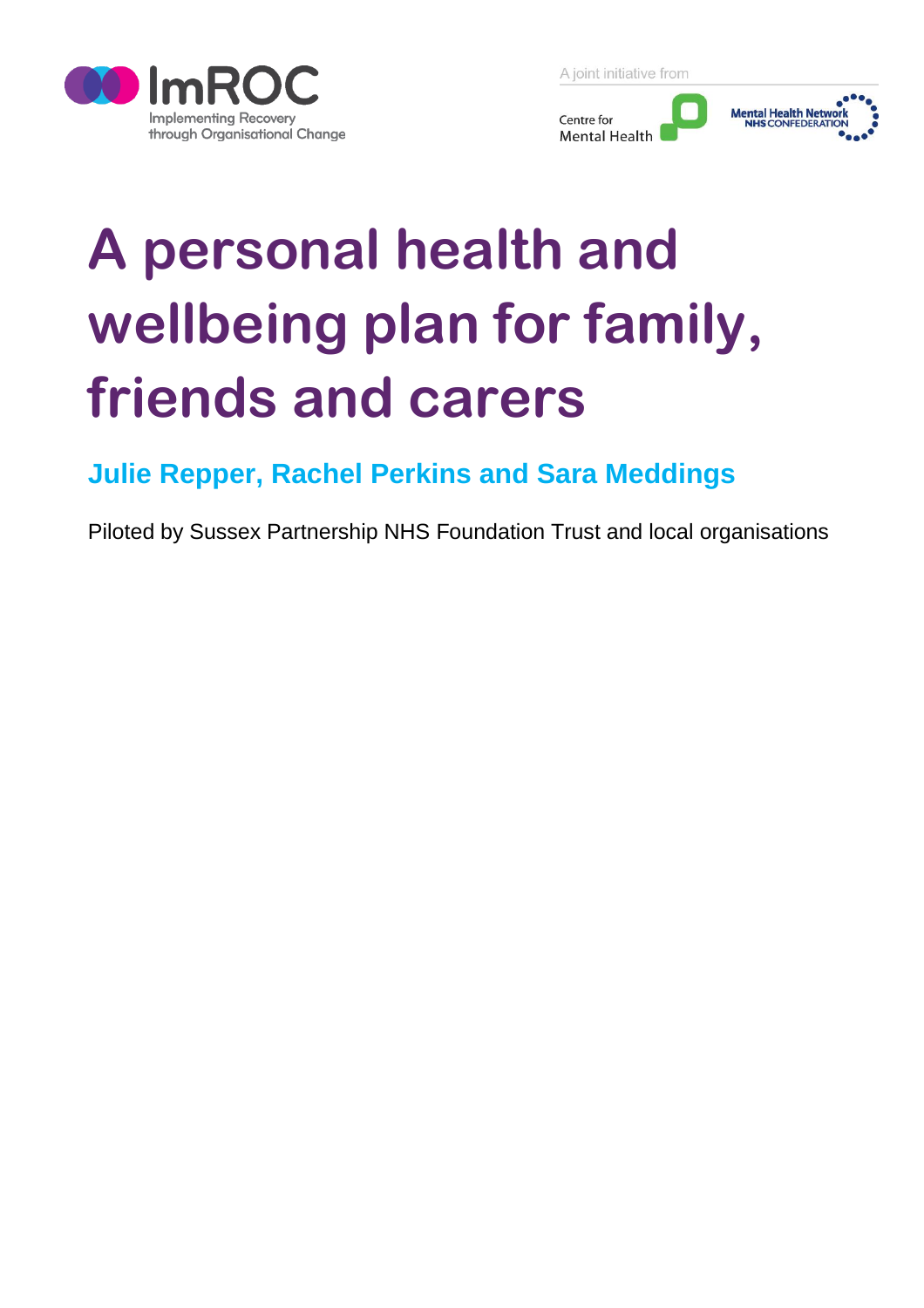

A joint initiative from



# **A personal health and wellbeing plan for family, friends and carers**

# **Julie Repper, Rachel Perkins and Sara Meddings**

Piloted by Sussex Partnership NHS Foundation Trust and local organisations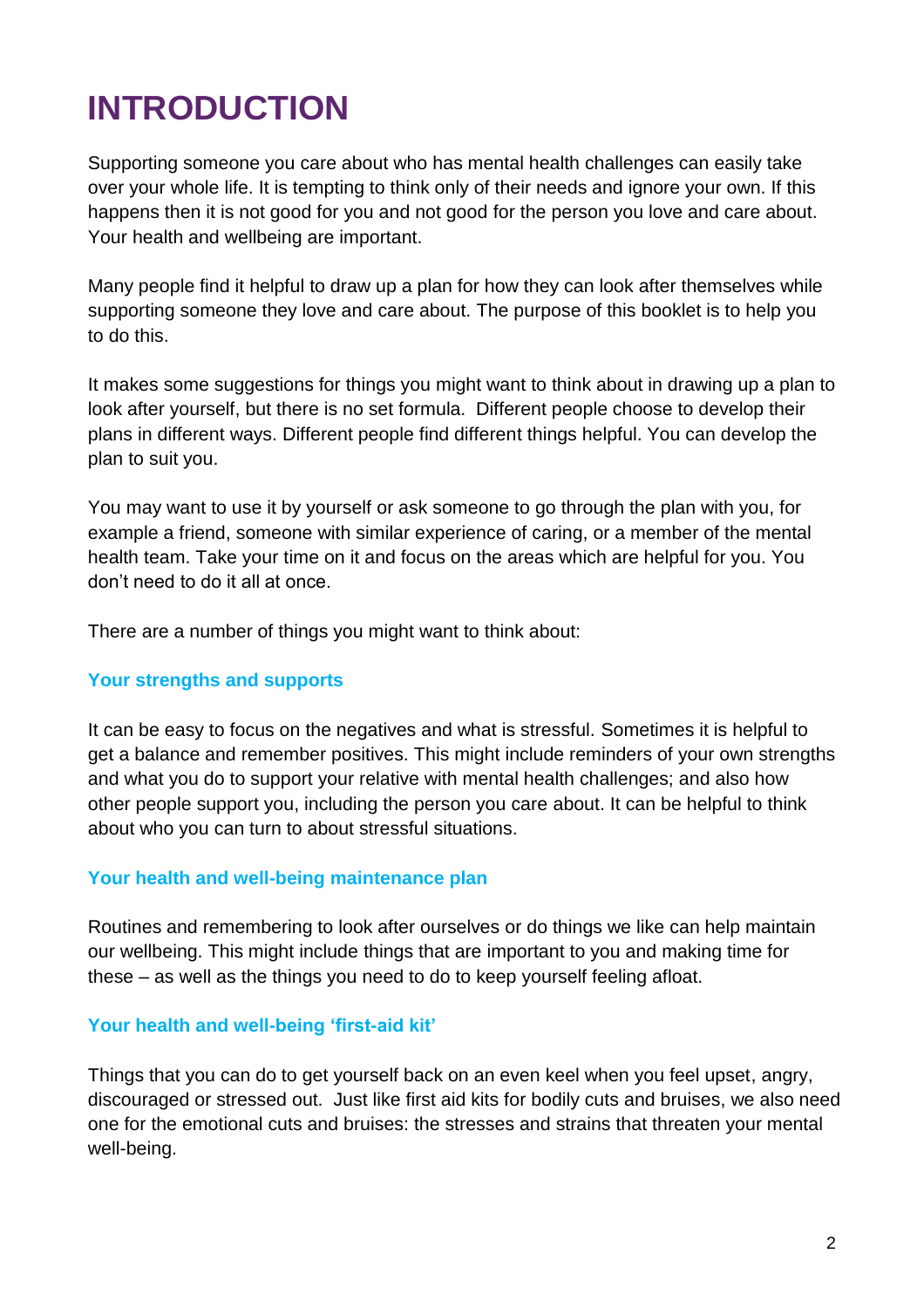# **INTRODUCTION**

Supporting someone you care about who has mental health challenges can easily take over your whole life. It is tempting to think only of their needs and ignore your own. If this happens then it is not good for you and not good for the person you love and care about. Your health and wellbeing are important.

Many people find it helpful to draw up a plan for how they can look after themselves while supporting someone they love and care about. The purpose of this booklet is to help you to do this.

It makes some suggestions for things you might want to think about in drawing up a plan to look after yourself, but there is no set formula. Different people choose to develop their plans in different ways. Different people find different things helpful. You can develop the plan to suit you.

You may want to use it by yourself or ask someone to go through the plan with you, for example a friend, someone with similar experience of caring, or a member of the mental health team. Take your time on it and focus on the areas which are helpful for you. You don't need to do it all at once.

There are a number of things you might want to think about:

#### **Your strengths and supports**

It can be easy to focus on the negatives and what is stressful. Sometimes it is helpful to get a balance and remember positives. This might include reminders of your own strengths and what you do to support your relative with mental health challenges; and also how other people support you, including the person you care about. It can be helpful to think about who you can turn to about stressful situations.

#### **Your health and well-being maintenance plan**

Routines and remembering to look after ourselves or do things we like can help maintain our wellbeing. This might include things that are important to you and making time for these – as well as the things you need to do to keep yourself feeling afloat.

#### **Your health and well-being 'first-aid kit'**

Things that you can do to get yourself back on an even keel when you feel upset, angry, discouraged or stressed out. Just like first aid kits for bodily cuts and bruises, we also need one for the emotional cuts and bruises: the stresses and strains that threaten your mental well-being.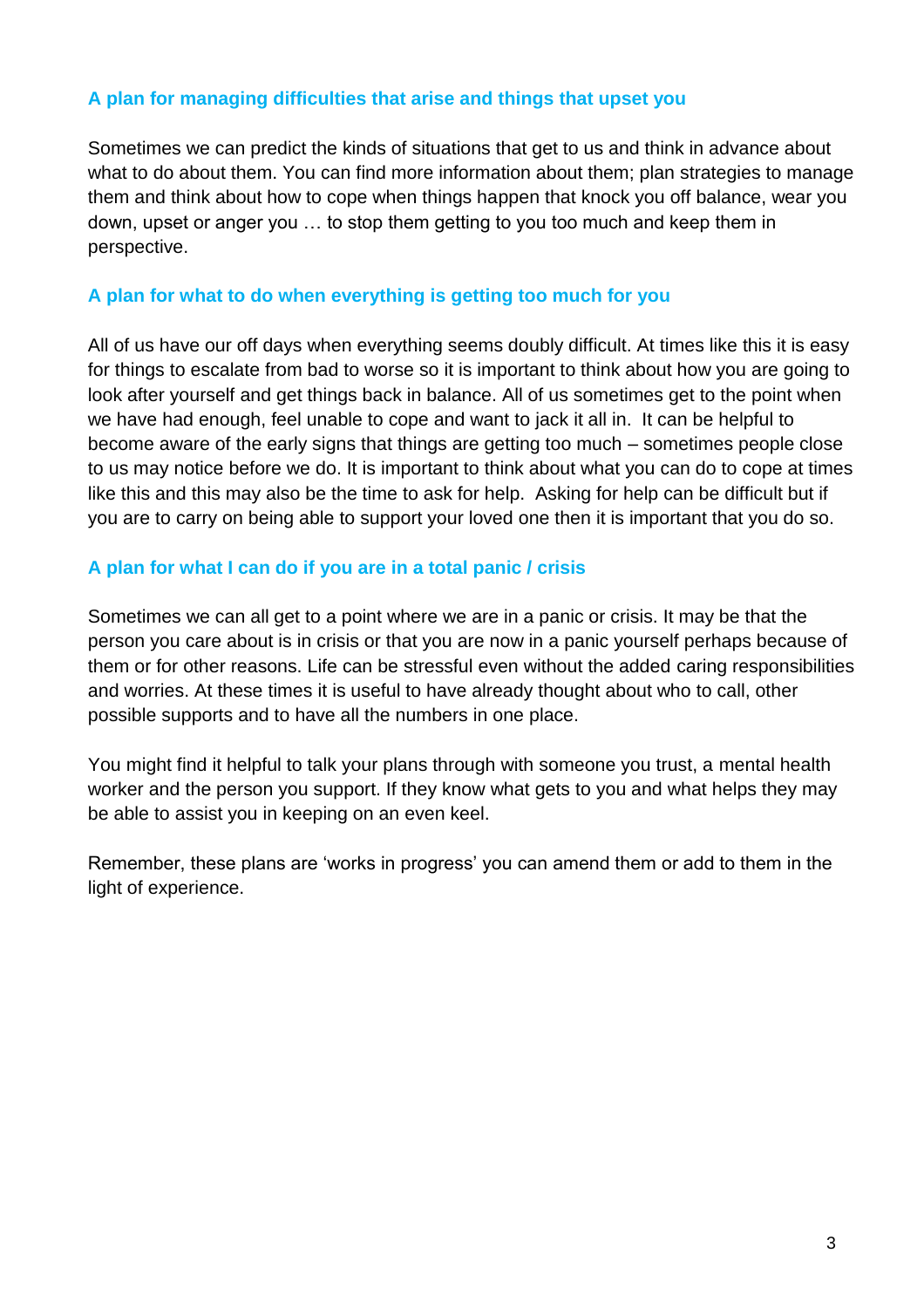#### **A plan for managing difficulties that arise and things that upset you**

Sometimes we can predict the kinds of situations that get to us and think in advance about what to do about them. You can find more information about them; plan strategies to manage them and think about how to cope when things happen that knock you off balance, wear you down, upset or anger you … to stop them getting to you too much and keep them in perspective.

#### **A plan for what to do when everything is getting too much for you**

All of us have our off days when everything seems doubly difficult. At times like this it is easy for things to escalate from bad to worse so it is important to think about how you are going to look after yourself and get things back in balance. All of us sometimes get to the point when we have had enough, feel unable to cope and want to jack it all in. It can be helpful to become aware of the early signs that things are getting too much – sometimes people close to us may notice before we do. It is important to think about what you can do to cope at times like this and this may also be the time to ask for help. Asking for help can be difficult but if you are to carry on being able to support your loved one then it is important that you do so.

#### **A plan for what I can do if you are in a total panic / crisis**

Sometimes we can all get to a point where we are in a panic or crisis. It may be that the person you care about is in crisis or that you are now in a panic yourself perhaps because of them or for other reasons. Life can be stressful even without the added caring responsibilities and worries. At these times it is useful to have already thought about who to call, other possible supports and to have all the numbers in one place.

You might find it helpful to talk your plans through with someone you trust, a mental health worker and the person you support. If they know what gets to you and what helps they may be able to assist you in keeping on an even keel.

Remember, these plans are 'works in progress' you can amend them or add to them in the light of experience.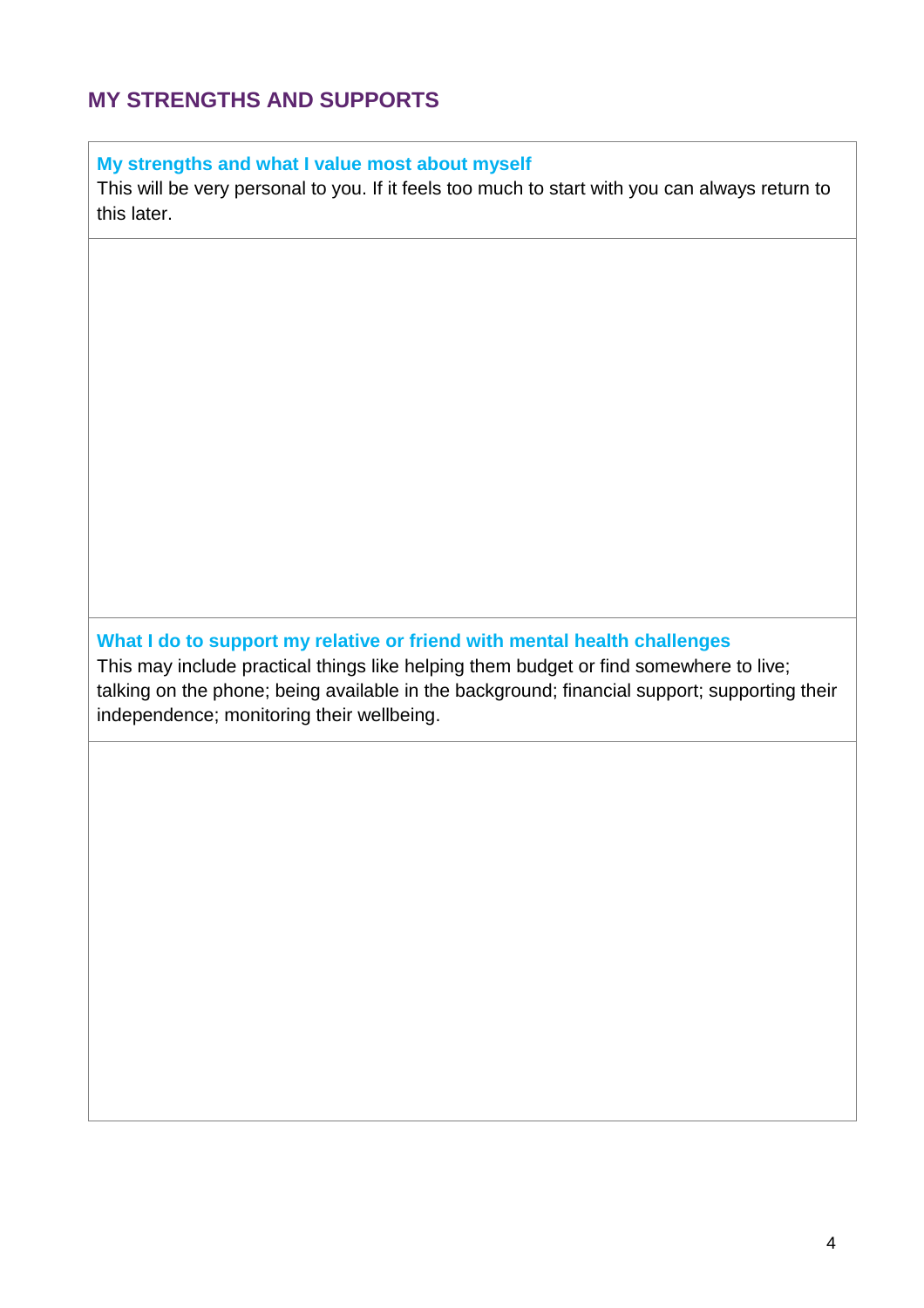### **MY STRENGTHS AND SUPPORTS**

**My strengths and what I value most about myself** 

This will be very personal to you. If it feels too much to start with you can always return to this later.

**What I do to support my relative or friend with mental health challenges** This may include practical things like helping them budget or find somewhere to live; talking on the phone; being available in the background; financial support; supporting their

independence; monitoring their wellbeing.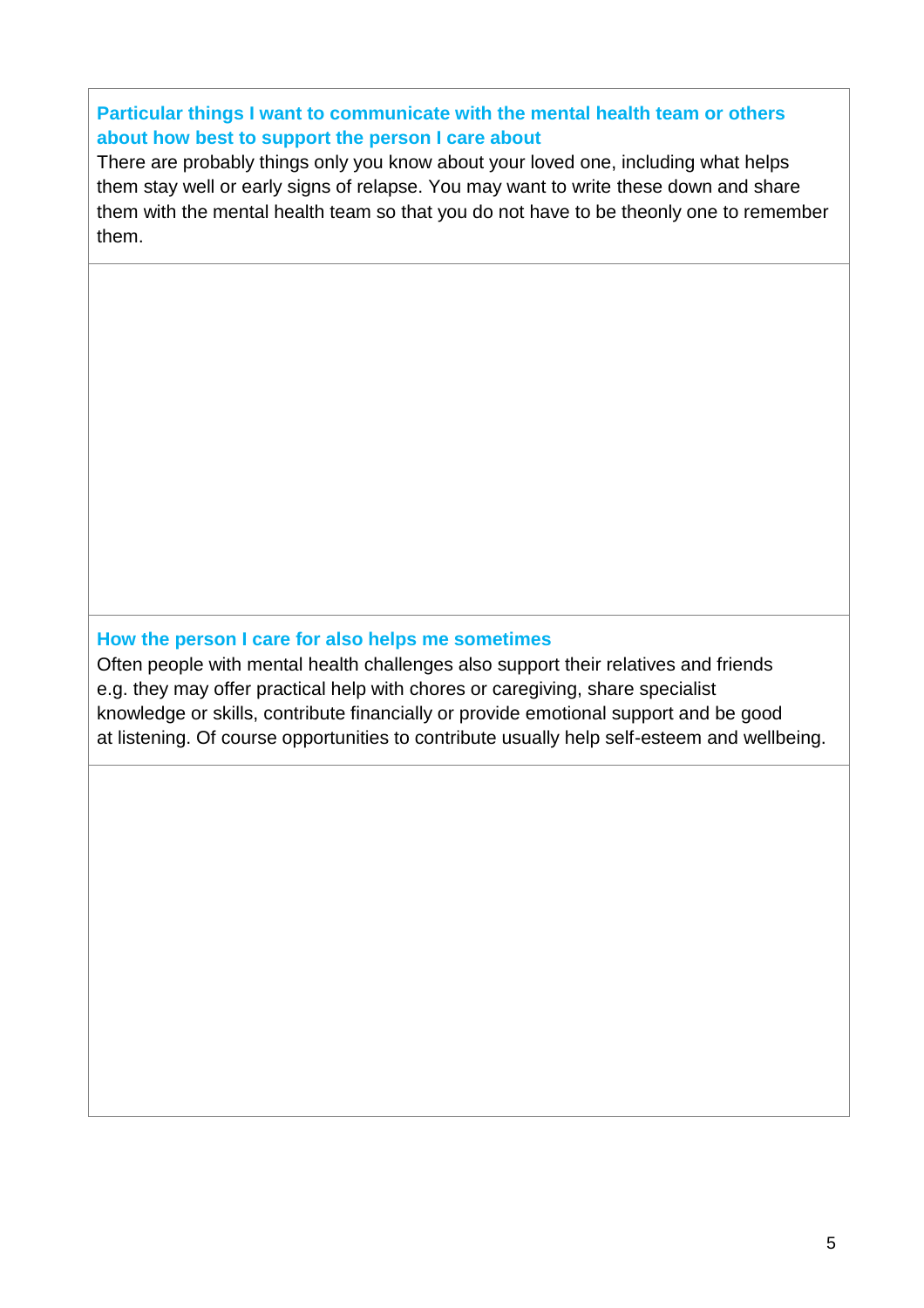#### **Particular things I want to communicate with the mental health team or others about how best to support the person I care about**

There are probably things only you know about your loved one, including what helps them stay well or early signs of relapse. You may want to write these down and share them with the mental health team so that you do not have to be theonly one to remember them.

#### **How the person I care for also helps me sometimes**

Often people with mental health challenges also support their relatives and friends e.g. they may offer practical help with chores or caregiving, share specialist knowledge or skills, contribute financially or provide emotional support and be good at listening. Of course opportunities to contribute usually help self-esteem and wellbeing.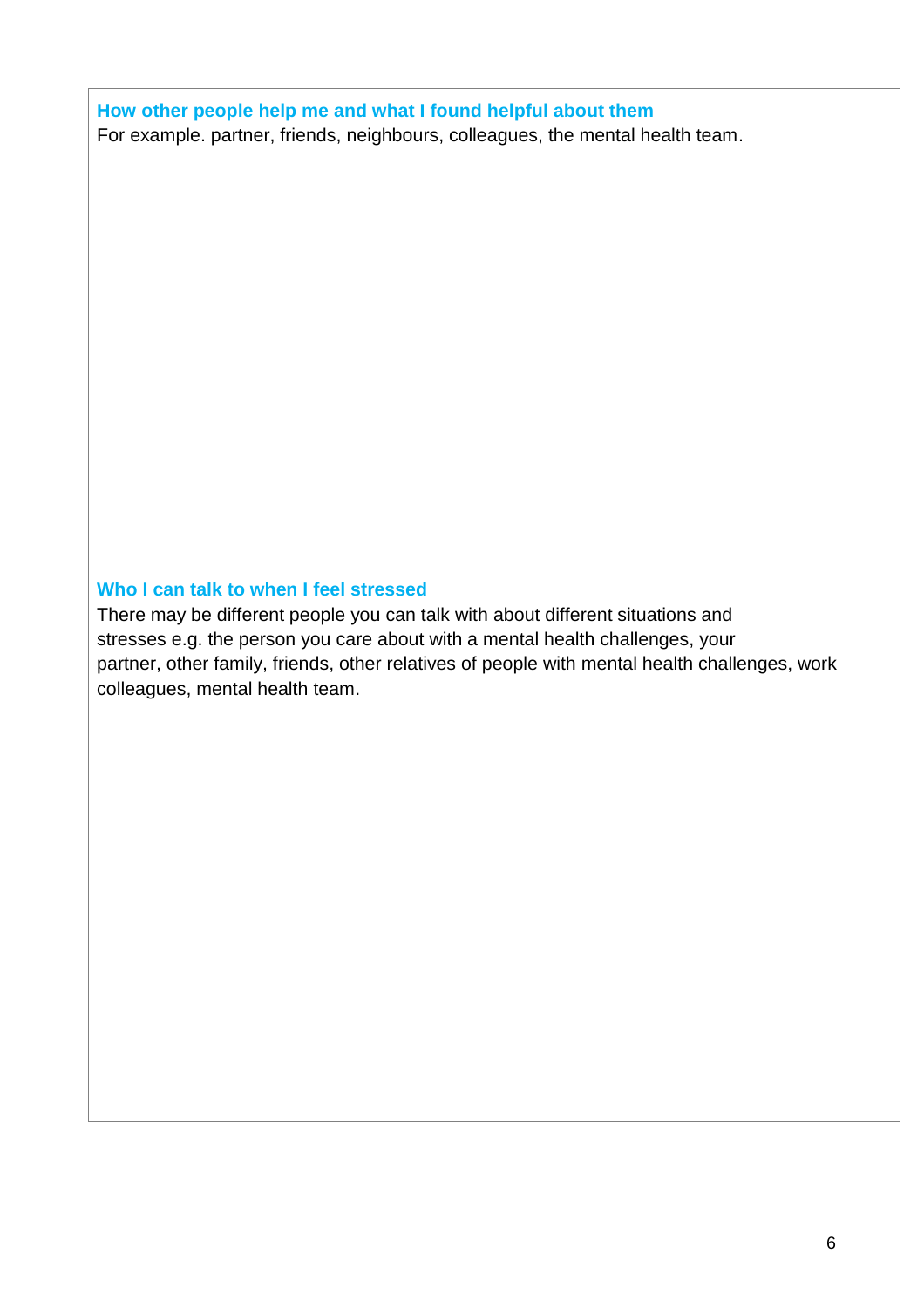#### **How other people help me and what I found helpful about them**

For example. partner, friends, neighbours, colleagues, the mental health team.

#### **Who I can talk to when I feel stressed**

There may be different people you can talk with about different situations and stresses e.g. the person you care about with a mental health challenges, your partner, other family, friends, other relatives of people with mental health challenges, work colleagues, mental health team.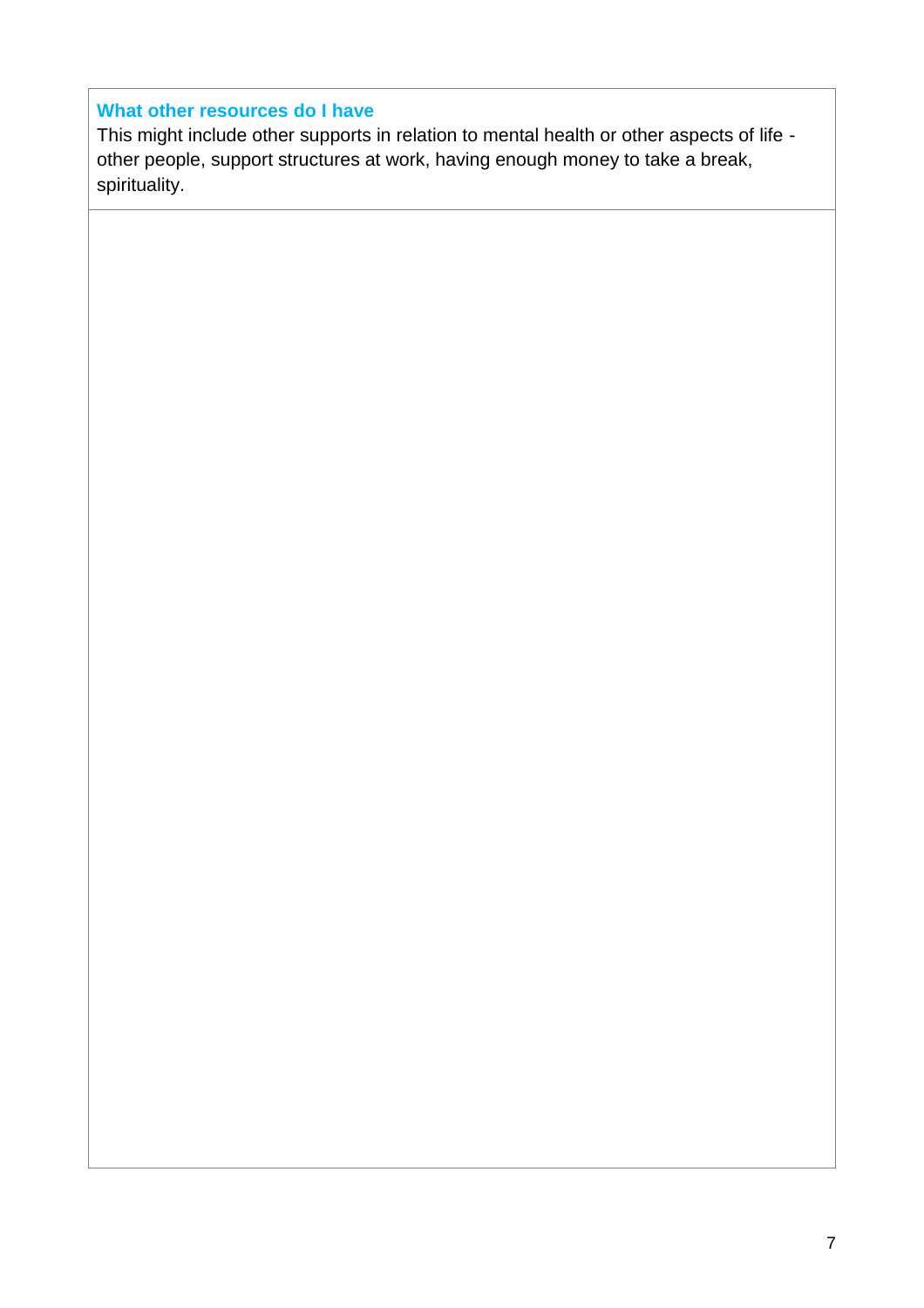#### **What other resources do I have**

This might include other supports in relation to mental health or other aspects of life other people, support structures at work, having enough money to take a break, spirituality.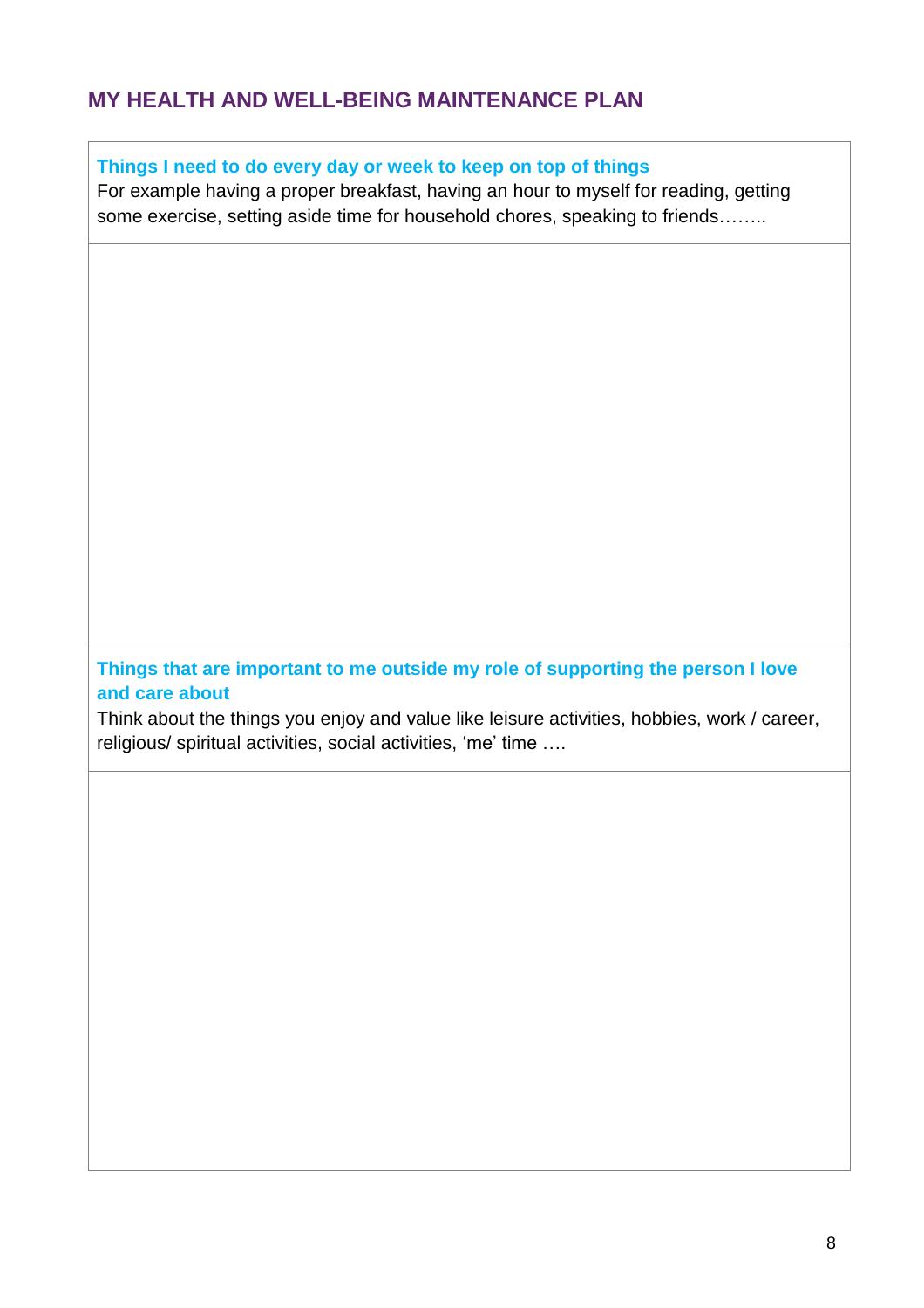#### **MY HEALTH AND WELL-BEING MAINTENANCE PLAN**

**Things I need to do every day or week to keep on top of things**

For example having a proper breakfast, having an hour to myself for reading, getting some exercise, setting aside time for household chores, speaking to friends……..

**Things that are important to me outside my role of supporting the person I love and care about**

Think about the things you enjoy and value like leisure activities, hobbies, work / career, religious/ spiritual activities, social activities, 'me' time ….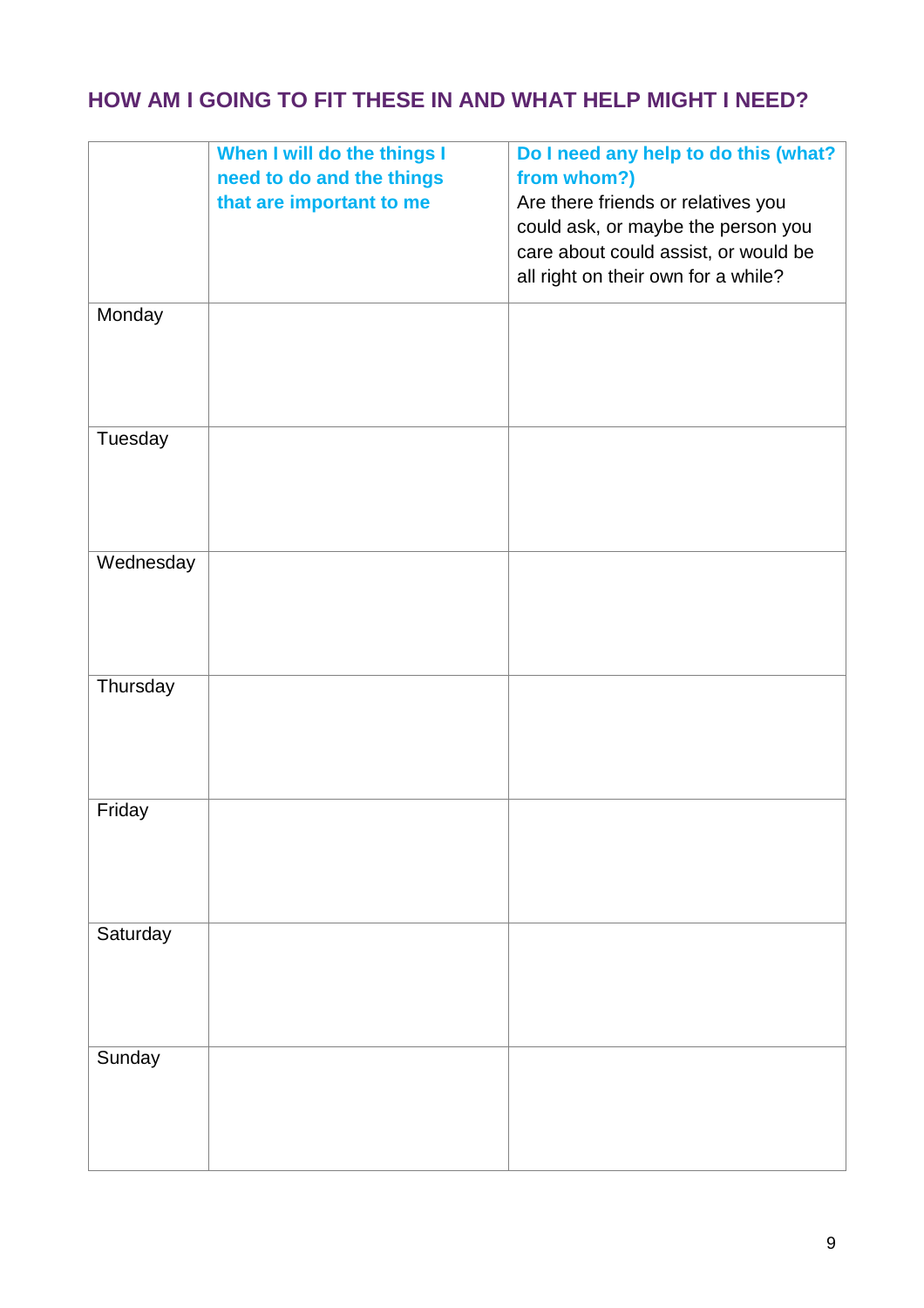# **HOW AM I GOING TO FIT THESE IN AND WHAT HELP MIGHT I NEED?**

|           | When I will do the things I<br>need to do and the things<br>that are important to me | Do I need any help to do this (what?<br>from whom?)<br>Are there friends or relatives you<br>could ask, or maybe the person you<br>care about could assist, or would be<br>all right on their own for a while? |
|-----------|--------------------------------------------------------------------------------------|----------------------------------------------------------------------------------------------------------------------------------------------------------------------------------------------------------------|
| Monday    |                                                                                      |                                                                                                                                                                                                                |
| Tuesday   |                                                                                      |                                                                                                                                                                                                                |
| Wednesday |                                                                                      |                                                                                                                                                                                                                |
| Thursday  |                                                                                      |                                                                                                                                                                                                                |
| Friday    |                                                                                      |                                                                                                                                                                                                                |
| Saturday  |                                                                                      |                                                                                                                                                                                                                |
| Sunday    |                                                                                      |                                                                                                                                                                                                                |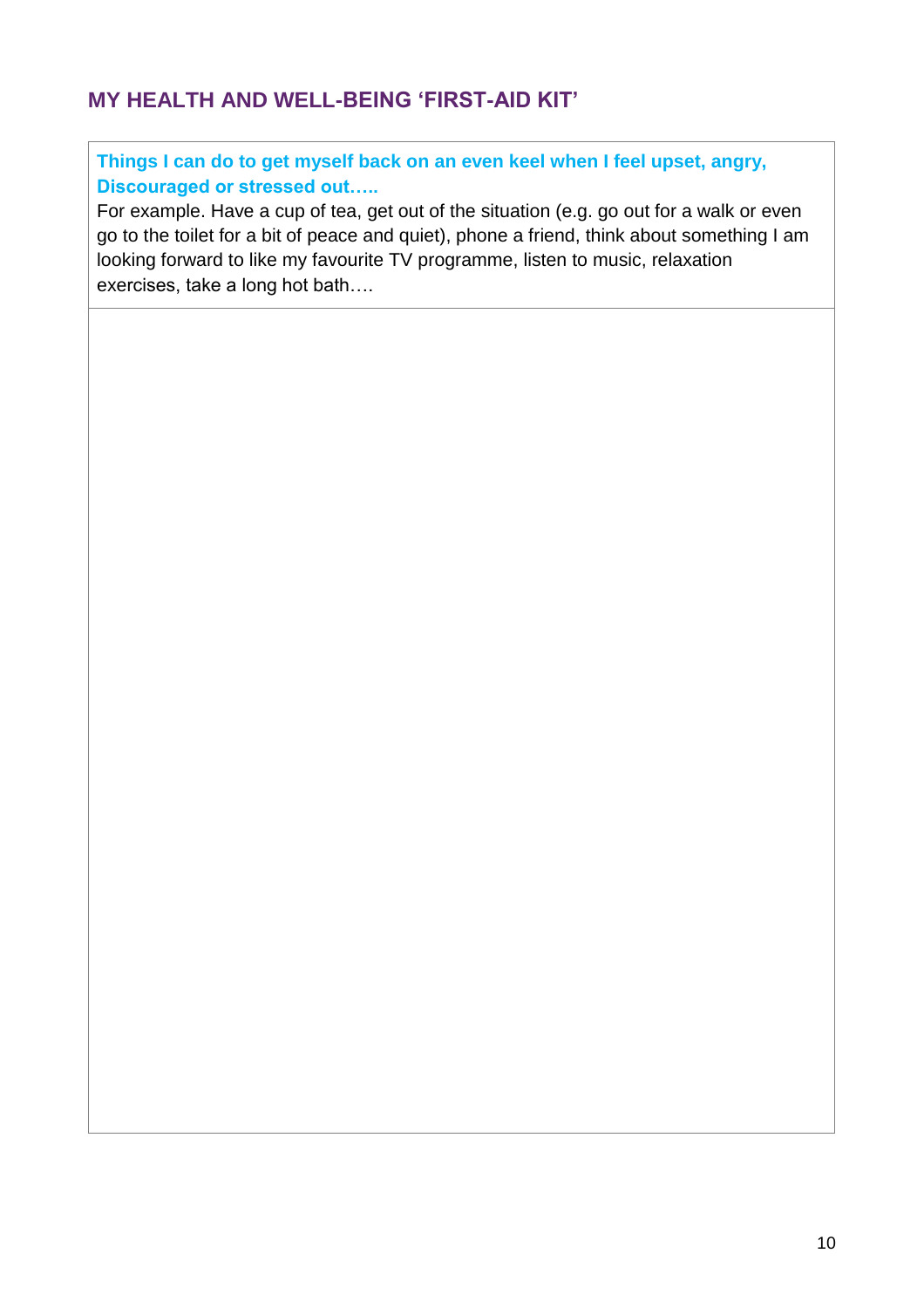# **MY HEALTH AND WELL-BEING 'FIRST-AID KIT'**

**Things I can do to get myself back on an even keel when I feel upset, angry, Discouraged or stressed out…..**

For example. Have a cup of tea, get out of the situation (e.g. go out for a walk or even go to the toilet for a bit of peace and quiet), phone a friend, think about something I am looking forward to like my favourite TV programme, listen to music, relaxation exercises, take a long hot bath….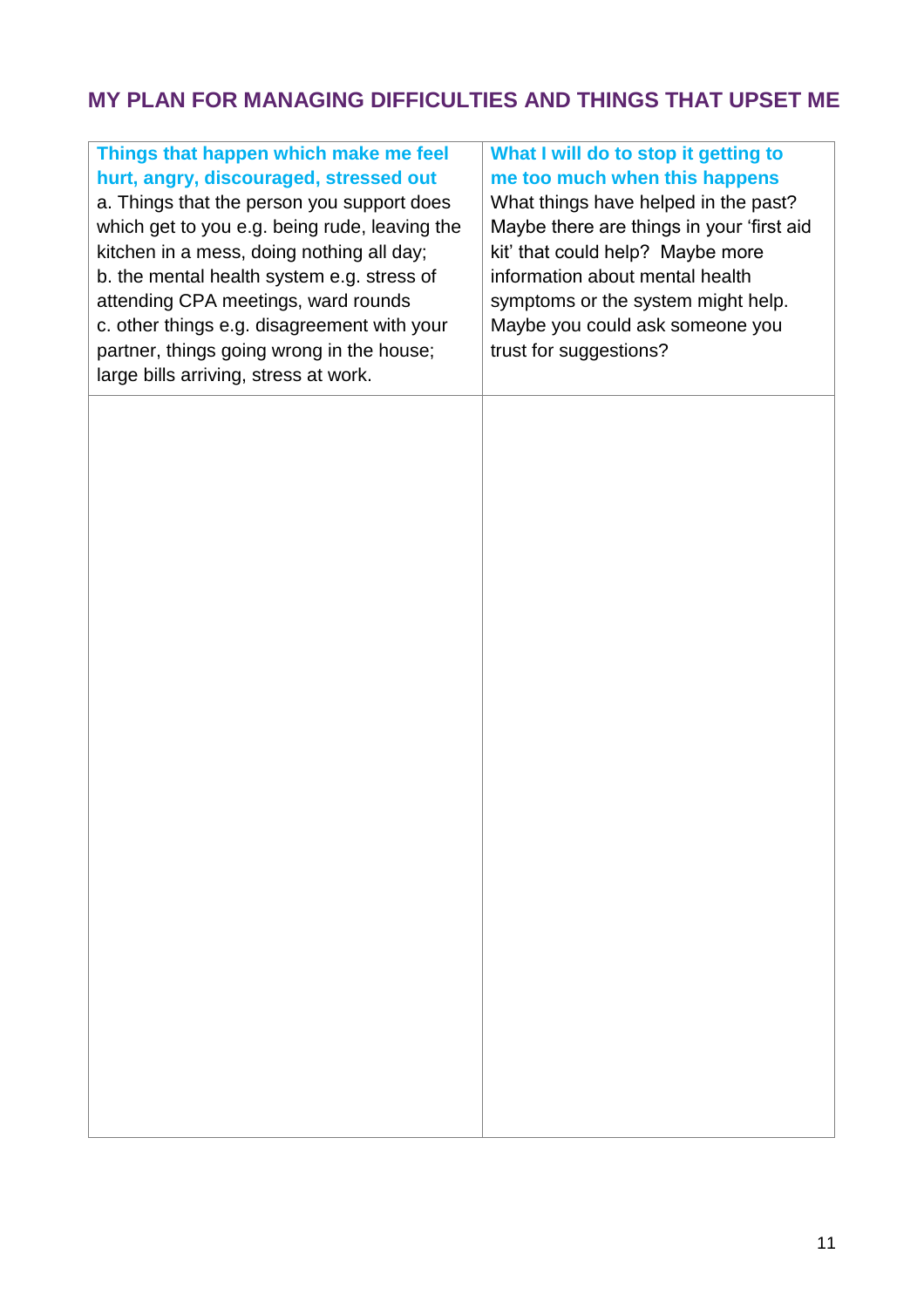# **MY PLAN FOR MANAGING DIFFICULTIES AND THINGS THAT UPSET ME**

| Things that happen which make me feel<br>hurt, angry, discouraged, stressed out<br>a. Things that the person you support does<br>which get to you e.g. being rude, leaving the<br>kitchen in a mess, doing nothing all day;<br>b. the mental health system e.g. stress of<br>attending CPA meetings, ward rounds<br>c. other things e.g. disagreement with your<br>partner, things going wrong in the house;<br>large bills arriving, stress at work. | What I will do to stop it getting to<br>me too much when this happens<br>What things have helped in the past?<br>Maybe there are things in your 'first aid<br>kit' that could help? Maybe more<br>information about mental health<br>symptoms or the system might help.<br>Maybe you could ask someone you<br>trust for suggestions? |
|-------------------------------------------------------------------------------------------------------------------------------------------------------------------------------------------------------------------------------------------------------------------------------------------------------------------------------------------------------------------------------------------------------------------------------------------------------|--------------------------------------------------------------------------------------------------------------------------------------------------------------------------------------------------------------------------------------------------------------------------------------------------------------------------------------|
|                                                                                                                                                                                                                                                                                                                                                                                                                                                       |                                                                                                                                                                                                                                                                                                                                      |
|                                                                                                                                                                                                                                                                                                                                                                                                                                                       |                                                                                                                                                                                                                                                                                                                                      |
|                                                                                                                                                                                                                                                                                                                                                                                                                                                       |                                                                                                                                                                                                                                                                                                                                      |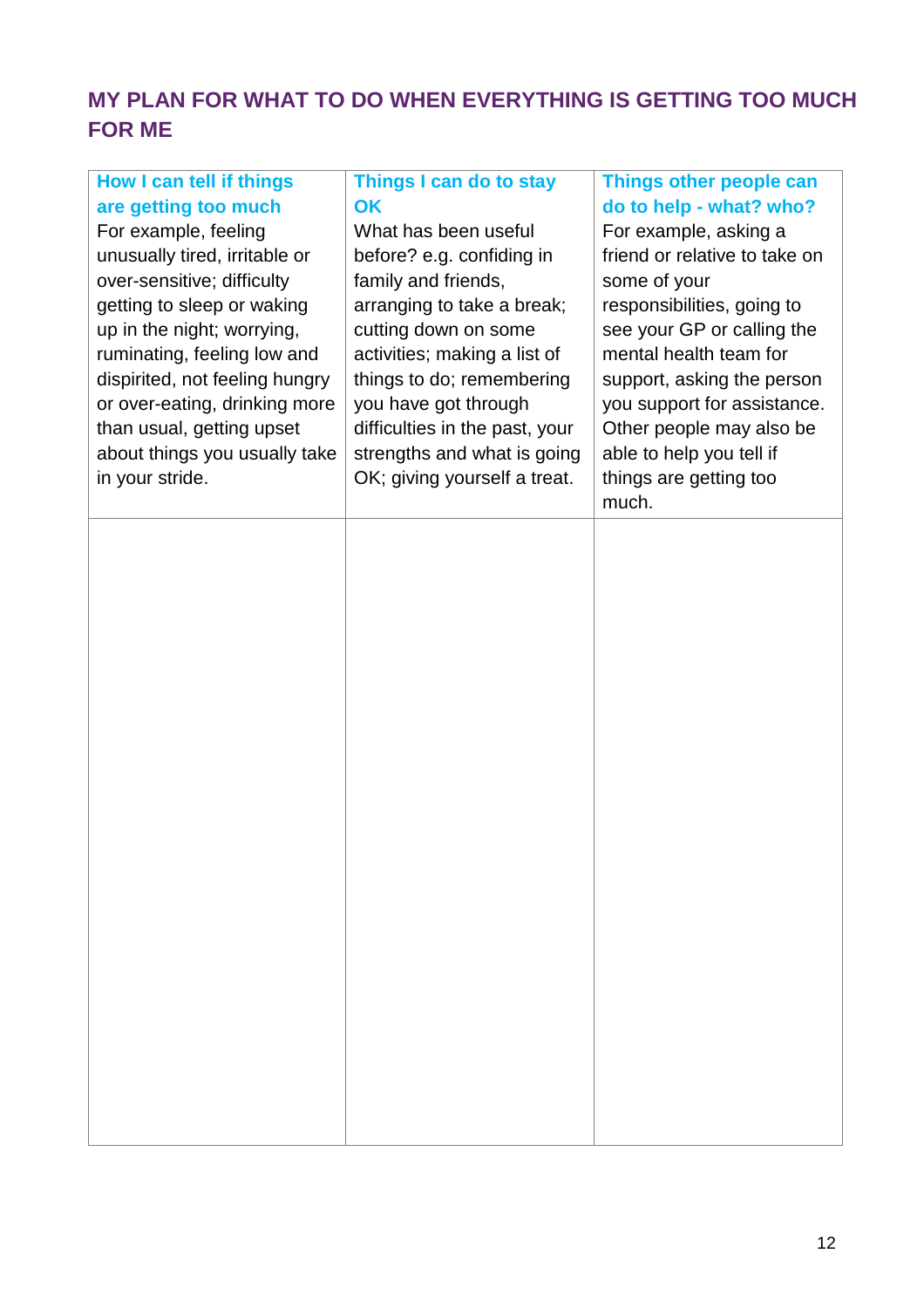# **MY PLAN FOR WHAT TO DO WHEN EVERYTHING IS GETTING TOO MUCH FOR ME**

| How I can tell if things<br>are getting too much<br>For example, feeling<br>unusually tired, irritable or<br>over-sensitive; difficulty<br>getting to sleep or waking<br>up in the night; worrying,<br>ruminating, feeling low and<br>dispirited, not feeling hungry<br>or over-eating, drinking more<br>than usual, getting upset<br>about things you usually take<br>in your stride. | Things I can do to stay<br>OK<br>What has been useful<br>before? e.g. confiding in<br>family and friends,<br>arranging to take a break;<br>cutting down on some<br>activities; making a list of<br>things to do; remembering<br>you have got through<br>difficulties in the past, your<br>strengths and what is going<br>OK; giving yourself a treat. | Things other people can<br>do to help - what? who?<br>For example, asking a<br>friend or relative to take on<br>some of your<br>responsibilities, going to<br>see your GP or calling the<br>mental health team for<br>support, asking the person<br>you support for assistance.<br>Other people may also be<br>able to help you tell if<br>things are getting too<br>much. |
|----------------------------------------------------------------------------------------------------------------------------------------------------------------------------------------------------------------------------------------------------------------------------------------------------------------------------------------------------------------------------------------|-------------------------------------------------------------------------------------------------------------------------------------------------------------------------------------------------------------------------------------------------------------------------------------------------------------------------------------------------------|----------------------------------------------------------------------------------------------------------------------------------------------------------------------------------------------------------------------------------------------------------------------------------------------------------------------------------------------------------------------------|
|                                                                                                                                                                                                                                                                                                                                                                                        |                                                                                                                                                                                                                                                                                                                                                       |                                                                                                                                                                                                                                                                                                                                                                            |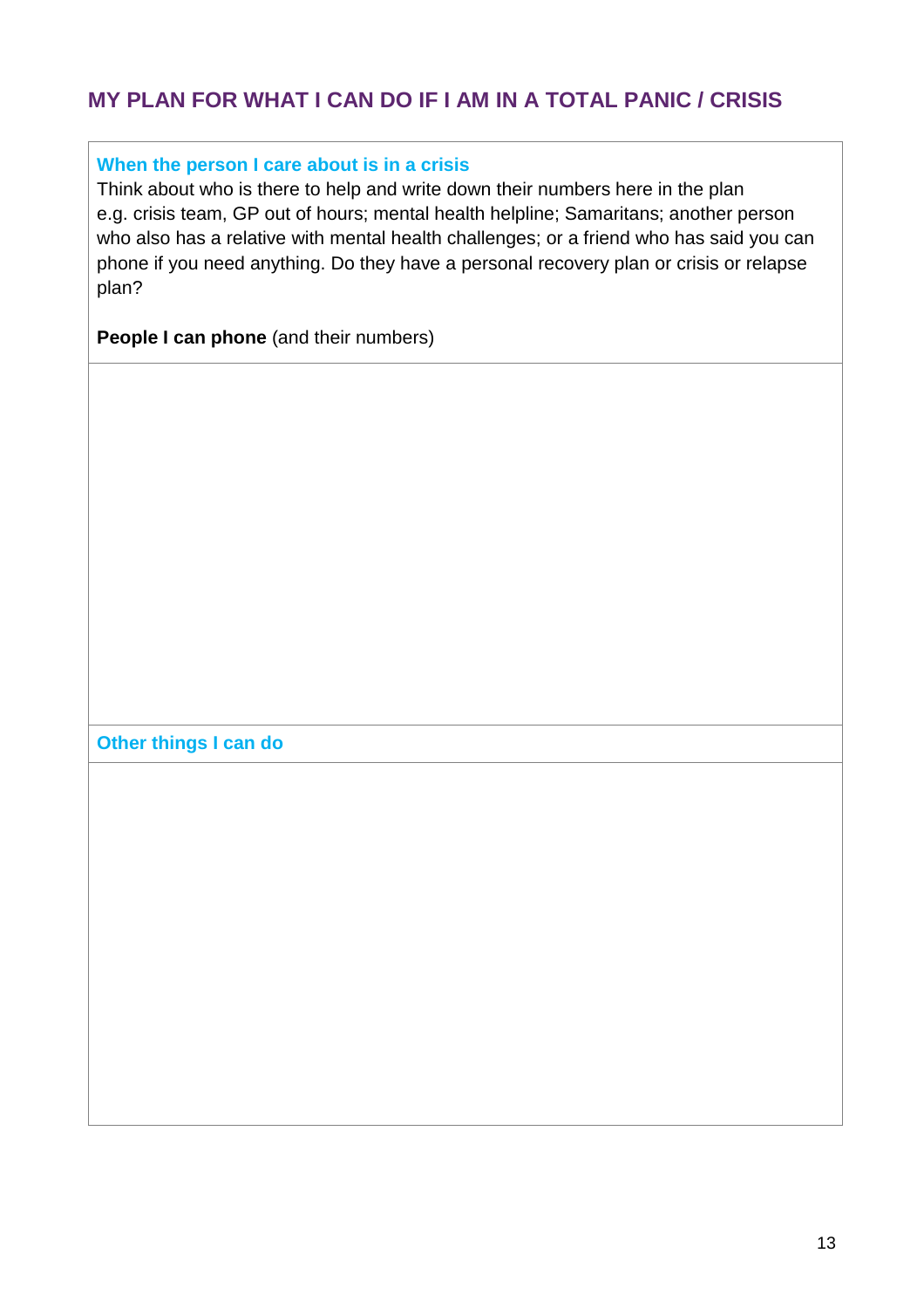# **MY PLAN FOR WHAT I CAN DO IF I AM IN A TOTAL PANIC / CRISIS**

#### **When the person I care about is in a crisis**

Think about who is there to help and write down their numbers here in the plan e.g. crisis team, GP out of hours; mental health helpline; Samaritans; another person who also has a relative with mental health challenges; or a friend who has said you can phone if you need anything. Do they have a personal recovery plan or crisis or relapse plan?

**People I can phone** (and their numbers)

**Other things I can do**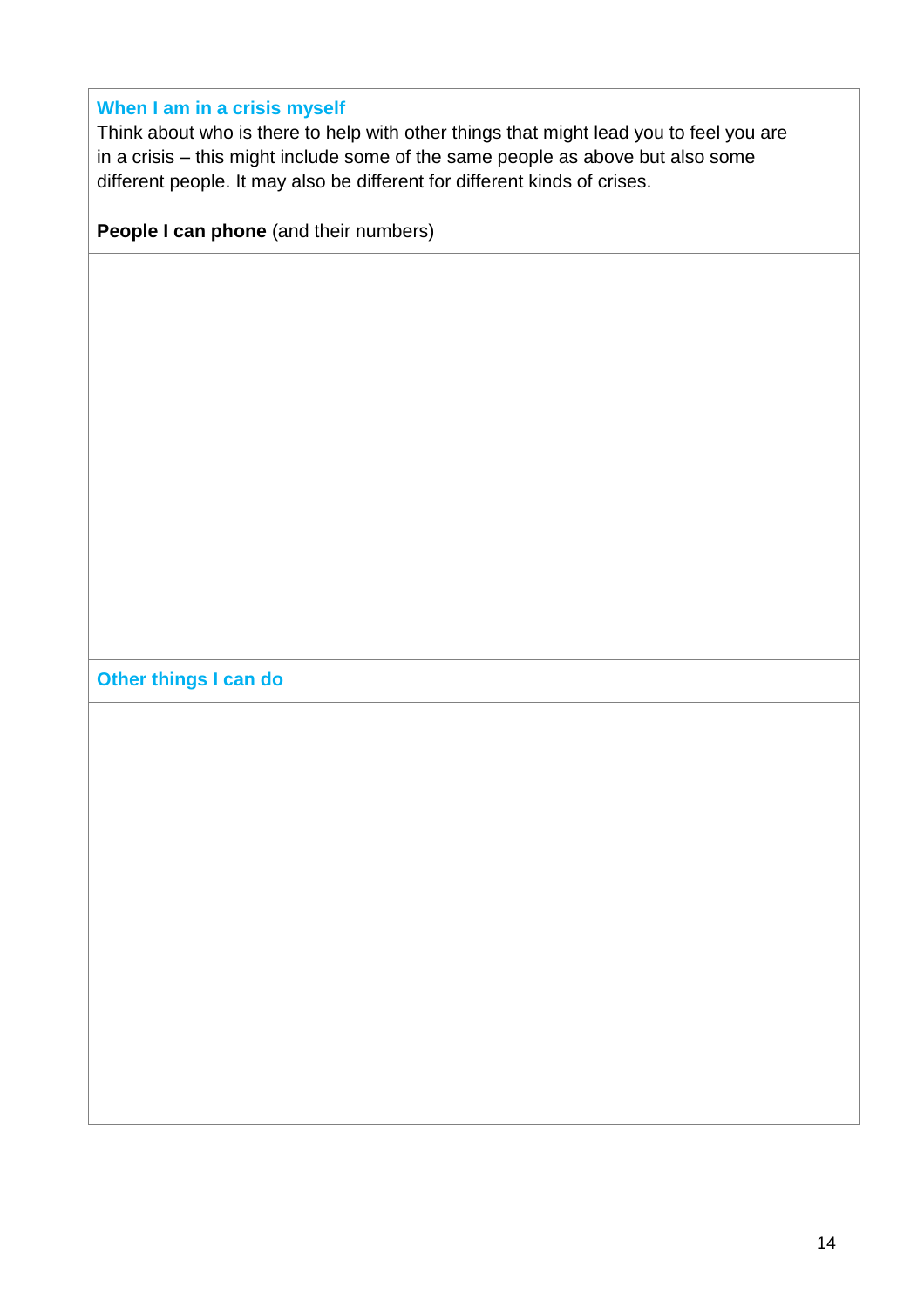#### **When I am in a crisis myself**

Think about who is there to help with other things that might lead you to feel you are in a crisis – this might include some of the same people as above but also some different people. It may also be different for different kinds of crises.

**People I can phone** (and their numbers)

**Other things I can do**